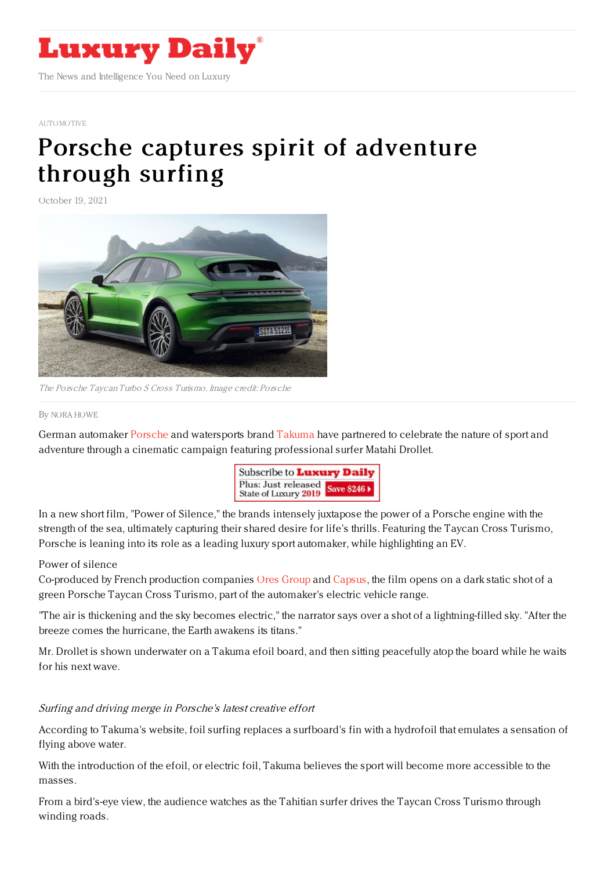

#### [AUTOMOTIVE](https://www.luxurydaily.com/category/sectors/automotive-industry-sectors/)

# Porsche captures spirit of [adventure](https://www.luxurydaily.com/porsche-takuma-surfing-taycan-turbo/) through surfing

October 19, 2021



The Porsche Taycan Turbo S Cross Turismo. Image credit: Porsche

#### By NORA [HOWE](file:///author/nora-howe)

German automaker [Porsche](https://www.porsche.com/) and watersports brand [Takuma](https://takuma.com/en/) have partnered to celebrate the nature of sport and adventure through a cinematic campaign featuring professional surfer Matahi Drollet.



In a new short film, "Power of Silence," the brands intensely juxtapose the power of a Porsche engine with the strength of the sea, ultimately capturing their shared desire for life's thrills. Featuring the Taycan Cross Turismo, Porsche is leaning into its role as a leading luxury sport automaker, while highlighting an EV.

### Power of silence

Co-produced by French production companies Ores [Group](https://www.ores-group.com/) and [Capsus,](https://www.capsusfilms.com/) the film opens on a dark static shot of a green Porsche Taycan Cross Turismo, part of the automaker's electric vehicle range.

"The air is thickening and the sky becomes electric," the narrator says over a shot of a lightning-filled sky. "After the breeze comes the hurricane, the Earth awakens its titans."

Mr. Drollet is shown underwater on a Takuma efoil board, and then sitting peacefully atop the board while he waits for his next wave.

## Surfing and driving merge in Porsche's latest creative effort

According to Takuma's website, foil surfing replaces a surfboard's fin with a hydrofoil that emulates a sensation of flying above water.

With the introduction of the efoil, or electric foil, Takuma believes the sport will become more accessible to the masses.

From a bird's-eye view, the audience watches as the Tahitian surfer drives the Taycan Cross Turismo through winding roads.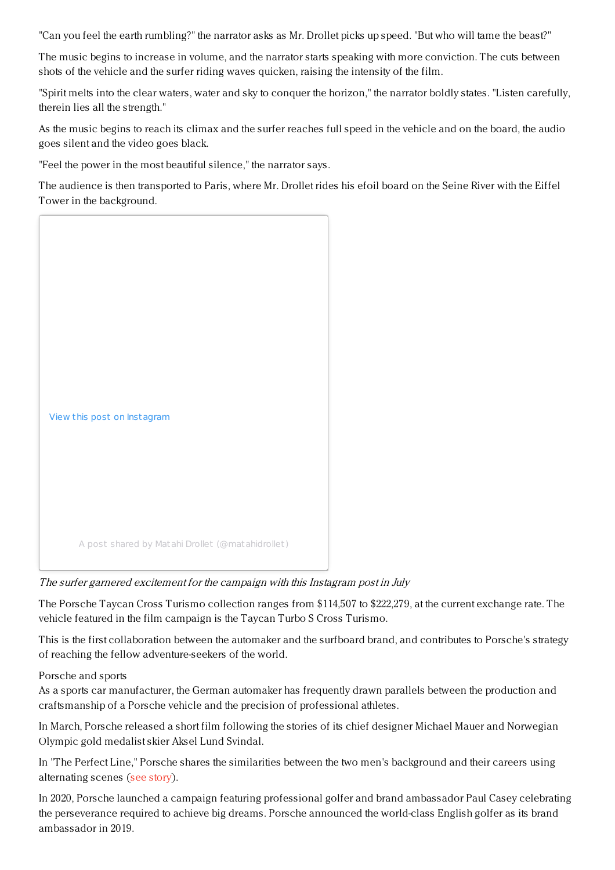"Can you feel the earth rumbling?" the narrator asks as Mr. Drollet picks up speed. "But who will tame the beast?"

The music begins to increase in volume, and the narrator starts speaking with more conviction. The cuts between shots of the vehicle and the surfer riding waves quicken, raising the intensity of the film.

"Spirit melts into the clear waters, water and sky to conquer the horizon," the narrator boldly states. "Listen carefully, therein lies all the strength."

As the music begins to reach its climax and the surfer reaches full speed in the vehicle and on the board, the audio goes silent and the video goes black.

"Feel the power in the most beautiful silence," the narrator says.

The audience is then transported to Paris, where Mr. Drollet rides his efoil board on the Seine River with the Eiffel Tower in the background.



# The surfer garnered excitement for the campaign with this Instagram post in July

The Porsche Taycan Cross Turismo collection ranges from \$114,507 to \$222,279, at the current exchange rate. The vehicle featured in the film campaign is the Taycan Turbo S Cross Turismo.

This is the first collaboration between the automaker and the surfboard brand, and contributes to Porsche's strategy of reaching the fellow adventure-seekers of the world.

## Porsche and sports

As a sports car manufacturer, the German automaker has frequently drawn parallels between the production and craftsmanship of a Porsche vehicle and the precision of professional athletes.

In March, Porsche released a short film following the stories of its chief designer Michael Mauer and Norwegian Olympic gold medalist skier Aksel Lund Svindal.

In "The Perfect Line," Porsche shares the similarities between the two men's background and their careers using alternating scenes (see [story](https://www.luxurydaily.com/porsche-pursues-the-perfect-line-in-taycan-effort/)).

In 2020, Porsche launched a campaign featuring professional golfer and brand ambassador Paul Casey celebrating the perseverance required to achieve big dreams. Porsche announced the world-class English golfer as its brand ambassador in 2019.